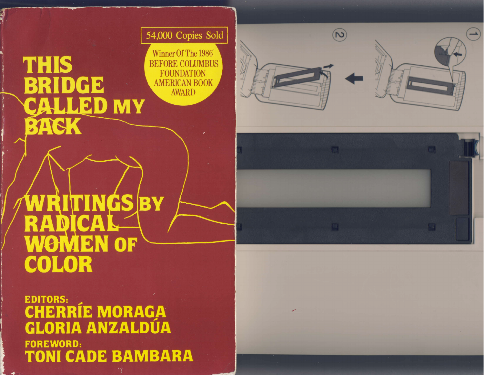54,000 Copies Sold

Winner Of The 1986 **BEFORE COLUMBUS** FOUNDATION AMERICAN BOOK

# **THIS BRIDCE** CALLED MY BACK

WRITINGS BY<br>RADICAL **WOMEN OF** COLOR

**EDITORS: CHERRÍE MORAGA GLORIA ANZALDUA FOREWORD:** TONI CADE BAMBARA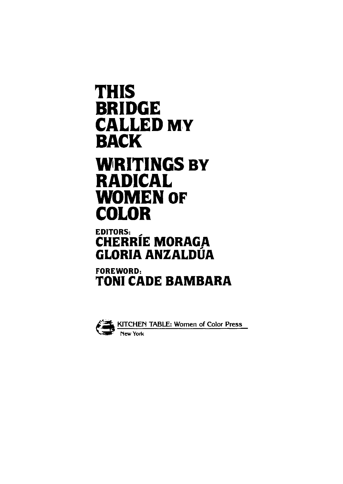## THIS BRIDGE CALLED MY BACK WRITINGS BY RADICAL WOMEN OF COLOR

## EDITORS: \_ CHERRIE MORAGA GLORIA ANZALDUA

### FOREWORD: TONI CADE BAMBARA



**KITCHEN TABLE: Women of Color Press New York**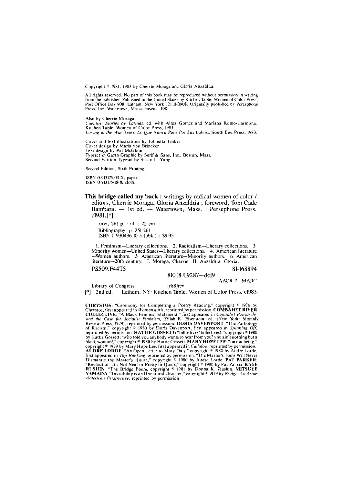Copyright © 1981, 1983 by Cherrie Moraga and Gloria Anzaldúa.

All rights reserved. No part of this book may be reproduced without permission in writing from the publisher. Published in the United States by Kitchen Table: Women of Color Press, Post Office Box 908, Latham, New York 12110-0908. Originally published by Peresphone Press, Inc. Watertown, Massachusetts, 1981.

Also by Cherrie Moraga *Cuentos: Stories by Latinas,* ed. with Alma Gomez and Mariana Romo-Carmona . Kitchen Table: Women of Color Press, 1983. *Loving in the War Years: Lo Que Nunca Paso Por Sus Labios.* South End Press, 1983.

Cover and text illustrations by Johnetta Tinker. Cover design by Maria von Brincken. Text design by Pat McGloin. Typeset in Garth Graphic by Serif & Sans, Inc., Boston, Mass. Second Edition Typeset by Susan L. Yung

Second Edition, Sixth Printing.

ISBN 0-913175-03-X, paper. ISBN 0-913175-18-8, cloth.

**This bridge called my back** : writings by radical women of color / editors, Cherríe Moraga, Gloria Anzaldúa ; foreword, Toni Cade Bambara. — 1st ed. — Watertown, Mass. : Persephone Press, cl981.[\*]

**xxvi, 261 p. : ill. ; 22 cm. Bibliography: p. 251-261. ISBN 0-930436-10-5 (pbk.) : S9.95** 

**1. Feminism—Literary collections. 2. Radicalism—Literary collections. 3. Minority women—United States—Literary collections. 4. American literature —Women authors. 5. American literature—Minority authors. 6. American**  literature—20th century. I. Moraga, Cherrie II. Anzaldúa, Gloria.

#### PS509.F44T5 81-168894

810 '.8 '09287—dcl9

**AACR 2 MARC** 

Library of Congress [r88]rev [\*]—2nd ed. — Latham, NY: Kitchen Table, Women of Color Press, cl983.

**CHRYSTOS:** "Ceremony for Completing a Poetry Reading," copyright © **1976** by Chrystos, first appeared in *Wotnanspirit*, reprinted by permission. **COMBAHEE RIVER COLLECTIVE**: "A Black Feminist Statement," first appeared in *Capitalist Patriarchy*<br>*and the Case for Socialist Feminism*, Zillah R. Eisenstein, ed. (New York: Monthly<br>Review Press, 1979), reprinted by permission. DORIS of Racism," copyright © **1980** by Doris Davenport, first appeared in *Spinning Off .*  reprinted by permission. **HATTIE GOSSETT:**"billie lives! billielives! "copyright© **1980**  by Hattie Gossett; "who told you anybody wants to hear from you? you ain't nothing but a black woman!, " copyright © **1980** by Hattie Gossett. **MARY HOPE LEE:** "on not being," copyright © **1979** by Mary Hope Lee, first appeared in *Callaloo*, reprinted by permission. **AUDRE LORDE:** "An Open Letter to Mary Daly," copyright © **1980** by Audre Lorde, first appeared in *Top Ranking*, reprinted by permission. "The Master's Tools Will Never Dismantle the Master's House," copyright © 1980 by Audre Lorde. PAT PARKER:<br>"Revloution: It's Not Neat or Pretty or Quick," copyright © 1980 by Pat Parker. KATE<br>RUSHIN: "The Bridge Poem. copyright © 1981 by Donna K. Rushin **YAMADA:** "Invisibility is an Unnatural Disaster," copyright © **1979** by *Bridge: An Asian American Perspective,* reprinted by permission.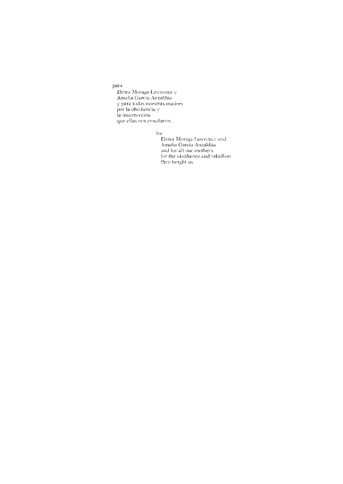#### para

Elvira Moraga Lawrence y Amalia García Anzaldúa y para todas nuestras madres por la obediencia y la insurrección que ellas nos enseñaron.

for

Elvira Moraga Lawrence and Amalia Garcia Anzaldua and tor all our mothers for the obedience and rebellion they taught us.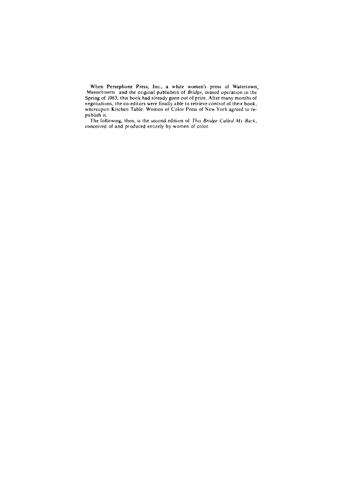**When Persephone Press, Inc., a white women's press of Watertown, Massachusetts and the original publishers of** *Bridge***, ceased operation in the Spring of 1983, this book had already gone out of print. After many months of negotiations, the co-editors were finally able to retrieve control of their book, whereupon Kitchen Table: Women of Color Press of New York agreed to republish it.** 

**The following, then, is the second edition of** *This Bridge Called My Back,*  **conceived of and produced entirely by women of color.**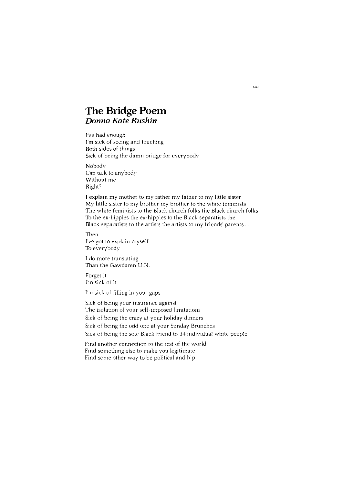#### **The Bridge Poem**  *Donna Kate Rushin*

I've had enough I'm sick of seeing and touching Both sides of things Sick of being the damn bridge for everybody

Nobody<br>Can talk to anybody Without me Without me<br>Diaht2 right?

I explain my mother to my father my father to my little sister My little sister to my brother my brother to the white feminists The white feminists to the Black church folks the Black church folks To the ex-hippies the ex-hippies to the Black separatists the Black separatists to the artists the artists to my friends' parents...

Then I've got to explain myself To everybody

I do more translating Than the Gawdamn U.N.

Forget it I'm sick of it

I'm sick of filling in your gaps

Sick of being your insurance against The isolation of your self-imposed limitations Sick of being the crazy at your holiday dinners Sick of being the odd one at your Sunday Brunches Sick of being the sole Black friend to 34 individual white people

Find another connection to the rest of the world Find something else to make you legitimate Find some other way to be political and hip